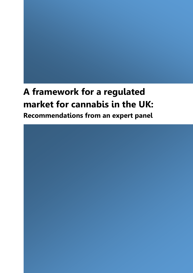# **A framework for a regulated market for cannabis in the UK: Recommendations from an expert panel**

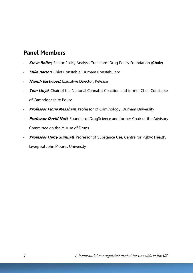# **Panel Members**

- **Steve Rolles**, Senior Policy Analyst, Transform Drug Policy Foundation (**Chair**)
- **Mike Barton**, Chief Constable, Durham Constabulary
- **Niamh Eastwood**, Executive Director, Release
- **Tom Lloyd**, Chair of the National Cannabis Coalition and former Chief Constable of Cambridgeshire Police
- **Professor Fiona Measham**, Professor of Criminology, Durham University
- **Professor David Nutt**, Founder of DrugScience and former Chair of the Advisory Committee on the Misuse of Drugs
- **Professor Harry Sumnall**, Professor of Substance Use, Centre for Public Health, Liverpool John Moores University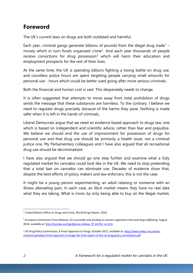# **Foreword**

The UK's current laws on drugs are both outdated and harmful.

Each year, criminal gangs generate billions of pounds from the illegal drug trade<sup>1</sup> – money which in turn funds organised crime<sup>2</sup>. And each year thousands of people receive convictions for drug possession<sup>3</sup> which will harm their education and employment prospects for the rest of their lives.

At the same time, the UK is spending billions fighting a losing battle on drug use, and countless police hours are spent targeting people carrying small amounts for personal use - hours which could be better used going after more serious criminals.

Both the financial and human cost is vast. This desperately needs to change.

It is often suggested that attempts to move away from total prohibition of drugs sends the message that these substances are harmless. To the contrary, I believe we need to regulate drugs precisely *because* of the harms they pose. Nothing is made safer when it is left in the hands of criminals.

Liberal Democrats argue that we need an evidence based approach to drugs law, one which is based on independent and scientific advice, rather than fear and prejudice. We believe we should end the use of imprisonment for possession of drugs for personal use and that drug use should be primarily a health issue, not a criminal justice one. My Parliamentary colleagues and I have also argued that all recreational drug use should be decriminalised.

I have also argued that we should go one step further and examine what a fully regulated market for cannabis could look like in the UK. We need to stop pretending that a total ban on cannabis can eliminate use. Decades of evidence show that, despite the best efforts of policy makers and law enforcers, this is not the case.

It might be a young person experimenting, an adult relaxing or someone with an illness alleviating pain. In each case, an illicit market means they have no real idea what they are taking. What is more, by only being able to buy on the illegal market,

<sup>1</sup> <sup>1</sup> United Nations Office on Drugs and Crime, World Drugs Report, 2010

<sup>&</sup>lt;sup>2</sup> European Commission Press Release, *EU to provide new funding to counter organised crime and drug trafficking, August* 2014, available at[: http://europa.eu/rapid/press-release\\_IP-14-914\\_en.htm](http://europa.eu/rapid/press-release_IP-14-914_en.htm)

<sup>&</sup>lt;sup>3</sup> UK Drug Policy Commission, A Fresh Approach to Drugs, October 2012, available at: [http://www.ukdpc.org.uk/wp](http://www.ukdpc.org.uk/wp-content/uploads/a-fresh-approach-to-drugs-the-final-report-of-the-uk-drug-policy-commission.pdf)[content/uploads/a-fresh-approach-to-drugs-the-final-report-of-the-uk-drug-policy-commission.pdf](http://www.ukdpc.org.uk/wp-content/uploads/a-fresh-approach-to-drugs-the-final-report-of-the-uk-drug-policy-commission.pdf)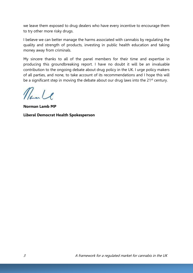we leave them exposed to drug dealers who have every incentive to encourage them to try other more risky drugs.

I believe we can better manage the harms associated with cannabis by regulating the quality and strength of products, investing in public health education and taking money away from criminals.

My sincere thanks to all of the panel members for their time and expertise in producing this groundbreaking report. I have no doubt it will be an invaluable contribution to the ongoing debate about drug policy in the UK. I urge policy makers of all parties, and none, to take account of its recommendations and I hope this will be a significant step in moving the debate about our drug laws into the 21<sup>st</sup> century.

Name

**Norman Lamb MP Liberal Democrat Health Spokesperson**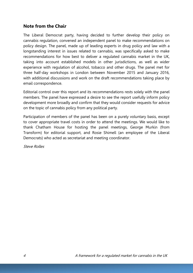#### **Note from the Chair**

The Liberal Democrat party, having decided to further develop their policy on cannabis regulation, convened an independent panel to make recommendations on policy design. The panel, made up of leading experts in drug policy and law with a longstanding interest in issues related to cannabis, was specifically asked to make recommendations for how best to deliver a regulated cannabis market in the UK, taking into account established models in other jurisdictions, as well as wider experience with regulation of alcohol, tobacco and other drugs. The panel met for three half-day workshops in London between November 2015 and January 2016, with additional discussions and work on the draft recommendations taking place by email correspondence.

Editorial control over this report and its recommendations rests solely with the panel members. The panel have expressed a desire to see the report usefully inform policy development more broadly and confirm that they would consider requests for advice on the topic of cannabis policy from any political party.

Participation of members of the panel has been on a purely voluntary basis, except to cover appropriate travel costs in order to attend the meetings. We would like to thank Chatham House for hosting the panel meetings, George Murkin (from Transform) for editorial support, and Rosie Shimell (an employee of the Liberal Democrats) who acted as secretariat and meeting coordinator.

Steve Rolles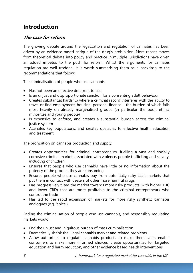# **Introduction**

### **The case for reform**

The growing debate around the legalisation and regulation of cannabis has been driven by an evidence-based critique of the drug's prohibition. More recent moves from theoretical debate into policy and practice in multiple jurisdictions have given an added impetus to the push for reform. Whilst the arguments for cannabis regulation are well trodden, it is worth summarising them as a backdrop to the recommendations that follow:

The criminalisation of people who use cannabis:

- Has not been an effective deterrent to use
- Is an unjust and disproportionate sanction for a consenting adult behaviour
- Creates substantial hardship where a criminal record interferes with the ability to travel or find employment, housing, personal finance – the burden of which falls most heavily on already marginalised groups (in particular the poor, ethnic minorities and young people)
- Is expensive to enforce, and creates a substantial burden across the criminal justice system
- Alienates key populations, and creates obstacles to effective health education and treatment

The prohibition on cannabis production and supply:

- Creates opportunities for criminal entrepreneurs, fuelling a vast and socially corrosive criminal market, associated with violence, people trafficking and slavery, including of children
- Ensures that people who use cannabis have little or no information about the potency of the product they are consuming
- Ensures people who use cannabis buy from potentially risky illicit markets that put them in contact with dealers of other more harmful drugs
- Has progressively tilted the market towards more risky products (with higher THC and lower CBD) that are more profitable to the criminal entrepreneurs who control the trade
- Has led to the rapid expansion of markets for more risky synthetic cannabis analogues (e.g. 'spice')

Ending the criminalisation of people who use cannabis, and responsibly regulating markets would:

- End the unjust and iniquitous burden of mass criminalisation
- Dramatically shrink the illegal cannabis market and related problems
- Allow authorities to regulate cannabis products to make them safer, enable consumers to make more informed choices, create opportunities for targeted education and harm reduction, and other evidence based health interventions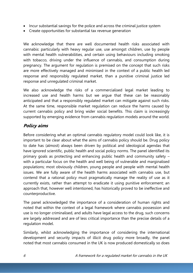- Incur substantial savings for the police and across the criminal justice system
- Create opportunities for substantial tax revenue generation

We acknowledge that there are well documented health risks associated with cannabis: particularly with heavy regular use, use amongst children, use by people with mental health vulnerabilities, and certain using behaviours including smoking with tobacco, driving under the influence of cannabis, and consumption during pregnancy. The argument for regulation is premised on the concept that such risks are more effectively managed and minimised in the context of a public health led response and responsibly regulated market, than a punitive criminal justice led response and unregulated criminal market.

We also acknowledge the risks of a commercialised legal market leading to increased use and health harms but we argue that these can be reasonably anticipated and that a responsibly regulated market can mitigate against such risks. At the same time, responsible market regulation can reduce the harms caused by current cannabis policy and bring wider social benefits. This claim is increasingly supported by emerging evidence from cannabis regulation models around the world.

### **Policy aims**

Before considering what an optimal cannabis regulatory model could look like, it is important to be clear about what the aims of cannabis policy should be. Drug policy to date has (almost) always been driven by political and ideological agendas that have ignored scientific, public health and social policy norms. The panel identified its primary goals as protecting and enhancing public health and community safety – with a particular focus on the health and well being of vulnerable and marginalised populations; most obviously children, young people and people with mental health issues. We are fully aware of the health harms associated with cannabis use, but contend that a rational policy must pragmatically manage the reality of use as it currently exists, rather than attempt to eradicate it using punitive enforcement; an approach that, however well intentioned, has historically proved to be ineffective and counterproductive.

The panel acknowledged the importance of a consideration of human rights and noted that within the context of a legal framework where cannabis possession and use is no longer criminalised, and adults have legal access to the drug, such concerns are largely addressed and are of less critical importance than the precise details of a regulation model.

Similarly, whilst acknowledging the importance of considering the international development and security impacts of illicit drug policy more broadly, the panel noted that most cannabis consumed in the UK is now produced domestically so does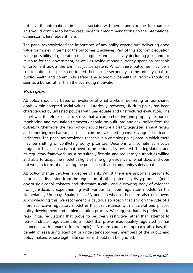not have the international impacts associated with heroin and cocaine, for example. This would continue to be the case under our recommendations, so the international dimension is less relevant here.

The panel acknowledged the importance of any policy expenditure delivering good value for money in terms of the outcomes it achieves. Part of this economic equation is the possibility of generating meaningful economic activity (including jobs) and tax revenue for the government, as well as saving money currently spent on cannabis enforcement across the criminal justice system. Whilst these outcomes may be a consideration, the panel considered them to be secondary to the primary goals of public health and community safety. The economic benefits of reform should be seen as a bonus rather than the overriding motivation.

### **Principles**

All policy should be based on evidence of what works in delivering on our shared goals, within accepted social values. Historically, however, UK drug policy has been characterised by untested policies with inadequate and unstructured evaluation. The panel was therefore keen to stress that a comprehensive and properly resourced monitoring and evaluation framework should be built into any new policy from the outset. Furthermore, the new policy should feature a clearly legislated annual review and reporting mechanism, so that it can be evaluated against key agreed outcome indicators. The panel acknowledge that this is a complex policy area in which there may be shifting or conflicting policy priorities. Decisions will sometimes involve pragmatic balancing acts that need to be periodically revisited. The legislation, and its regulatory framework, must be suitably flexible, and regulatory authorities willing and able to adapt the model in light of emerging evidence of what does and does not work in terms of delivering the public health and community safety goals.

All policy change involves a degree of risk. Whilst there are important lessons to inform this discussion from the regulation of other potentially risky products (most obviously alcohol, tobacco and pharmaceuticals), and a growing body of evidence from jurisdictions experimenting with various cannabis regulation models (in the Netherlands, Uruguay, Spain, the USA and elsewhere), there are also unknowns. Acknowledging this, we recommend a cautious approach that errs on the side of a more restrictive regulatory model in the first instance, with a careful and phased policy development and implementation process. We suggest that it is preferable to relax initial regulations that prove to be overly restrictive rather than attempt to retro-fit stricter regulation into a model that proves inadequately regulated (as has happened with tobacco, for example). A more cautious approach also has the benefit of reassuring sceptical or understandably wary members of the public and policy makers, whose legitimate concerns should not be ignored.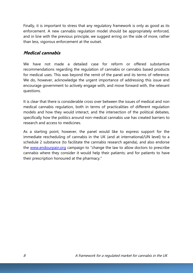Finally, it is important to stress that any regulatory framework is only as good as its enforcement. A new cannabis regulation model should be appropriately enforced, and in line with the previous principle, we suggest erring on the side of more, rather than less, vigorous enforcement at the outset.

#### **Medical cannabis**

We have not made a detailed case for reform or offered substantive recommendations regarding the regulation of cannabis or cannabis based products for medical uses. This was beyond the remit of the panel and its terms of reference. We do, however, acknowledge the urgent importance of addressing this issue and encourage government to actively engage with, and move forward with, the relevant questions.

It is clear that there is considerable cross over between the issues of medical and non medical cannabis regulation, both in terms of practicalities of different regulation models and how they would interact, and the intersection of the political debates, specifically how the politics around non-medical cannabis use has created barriers to research and access to medicines.

As a starting point, however, the panel would like to express support for the immediate rescheduling of cannabis in the UK (and at international/UN level) to a schedule 2 substance (to facilitate the cannabis research agenda), and also endorse the [www.endourpain.org](http://www.endourpain.org/) campaign to "change the law to allow doctors to prescribe cannabis where they consider it would help their patients; and for patients to have their prescription honoured at the pharmacy."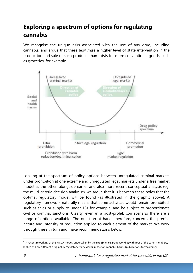# **Exploring a spectrum of options for regulating cannabis**

We recognise the unique risks associated with the use of any drug, including cannabis, and argue that these legitimise a higher level of state intervention in the production and sale of such products than exists for more conventional goods, such as groceries, for example.



Looking at the spectrum of policy options between unregulated criminal markets under prohibition at one extreme and unregulated legal markets under a free market model at the other, alongside earlier and also more recent conceptual analysis (eg. the multi-criteria decision analysis<sup>4</sup>), we argue that it is between these poles that the optimal regulatory model will be found (as illustrated in the graphic above). A regulatory framework naturally means that some activities would remain prohibited, such as sales or supply to under-18s for example, and be subject to proportionate civil or criminal sanctions. Clearly, even in a post-prohibition scenario there are a range of options available. The question at hand, therefore, concerns the precise nature and intensity of regulation applied to each element of the market. We work through these in turn and make recommendations below.

**.** 

<sup>&</sup>lt;sup>4</sup> A recent reworking of the MCDA model, undertaken by the DrugScience group working with four of the panel members, looked at how different drug policy regulatory frameworks impact on cannabis harms (publications forthcoming)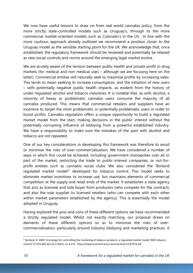We now have useful lessons to draw on from real world cannabis policy, from the more strictly state-controlled models such as Uruguay's, through to the more commercial market-oriented models such as Colorado's in the US. In line with the more cautious approach already outlined we recommend a position closer to the Uruguay model as the sensible starting point for the UK. We acknowledge that, once established, the regulatory framework should be reviewed and potentially be relaxed as new social controls and norms around the emerging legal market evolve.

We are acutely aware of the tension between public health and private profit in drug markets (for medical and non medical uses – although we are focusing here on the latter). Commercial entities will naturally seek to maximise profits by increasing sales. This tends to mean seeking to increase consumption, and the initiation of new users – with potentially negative public health impacts, as evident from the history of under-regulated alcohol and tobacco industries. It is notable that, as with alcohol, a minority of heavy or problematic cannabis users consume the majority of all cannabis produced. This means that commercial retailers and suppliers have an incentive to target the most problematic or potentially problematic users in order to boost profits. Cannabis regulation offers a unique opportunity to build a regulated market model from the start, making decisions in the public interest without the potentially corrupting influence of lobbying from a powerful established industry. We have a responsibility to make sure the mistakes of the past with alcohol and tobacco are not repeated.

One of our key considerations in developing this framework was therefore to avoid or minimise the risks of over-commercialisation. We have considered a number of ways in which this could be achieved, including government monopolies over all or part of the market, restricting the trade to public-interest companies, or not-forprofit entities such as cannabis social clubs. We also considered the 'Borland regulated market model<sup>5</sup>' developed for tobacco control. This model seeks to eliminate market incentives to increase use, but maintains elements of commercial competition at the supply and retail ends of the market. It establishes a state agency that acts as licensee and sole buyer from producers (who compete for the contract), and also the sole supplier to licensed retailers (who can compete with each other within market parameters established by the agency). This is essentially the model adopted in Uruguay.

Having explored the pros and cons of these different options we have recommended a strictly regulated model. Whilst not exactly matching, our proposal draws on elements of these different options so as to minimise the risks of overcommercialisation, particularly around industry lobbying and marketing practices. It

1

<sup>5</sup> Borland, R. 2003 'A strategy for controlling the marketing of tobacco products: a regulated market model' BMJ tobacco control 12:374-382 doi:10.1136/tc.12.4.374 http://tobaccocontrol.bmj.com/content/12/4/374.full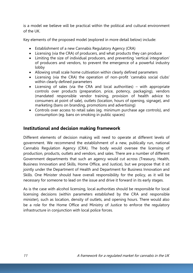is a model we believe will be practical within the political and cultural environment of the UK.

Key elements of the proposed model (explored in more detail below) include:

- Establishment of a new Cannabis Regulatory Agency (CRA)
- Licensing (via the CRA) of producers, and what products they can produce
- Limiting the size of individual producers, and preventing 'vertical integration' of producers and vendors, to prevent the emergence of a powerful industry lobby
- Allowing small scale home cultivation within clearly defined parameters
- Licensing (via the CRA) the operation of non-profit 'cannabis social clubs' within clearly defined parameters
- Licensing of sales (via the CRA and local authorities) with appropriate controls over products (preparation, price, potency, packaging), vendors (mandated responsible vendor training, provision of health advice to consumers at point of sale), outlets (location, hours of opening, signage), and marketing (bans on branding, promotions and advertising)
- Controls over access to retail sales (eg. minimum purchase age controls), and consumption (eg. bans on smoking in public spaces)

#### **Institutional and decision making framework**

Different elements of decision making will need to operate at different levels of government. We recommend the establishment of a new, publically run, national Cannabis Regulation Agency (CRA). The body would oversee the licensing of production, products, outlets and vendors, and sales. There are a number of different Government departments that such an agency would cut across (Treasury, Health, Business Innovation and Skills, Home Office, and Justice), but we propose that it sit jointly under the Department of Health and Department for Business Innovation and Skills. One Minister should have overall responsibility for the policy, as it will be necessary for someone to lead on the issue and drive it forward in its early stages.

As is the case with alcohol licensing, local authorities should be responsible for local licensing decisions (within parameters established by the CRA and responsible minister), such as location, density of outlets, and opening hours. There would also be a role for the Home Office and Ministry of Justice to enforce the regulatory infrastructure in conjunction with local police forces.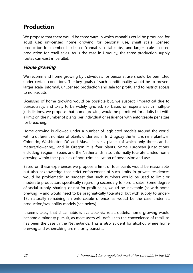# **Production**

We propose that there would be three ways in which cannabis could be produced for adult use: unlicensed home growing for personal use, small scale licensed production for membership based 'cannabis social clubs', and larger scale licensed production for retail sales. As is the case in Uruguay, the three production-supply routes can exist in parallel.

### **Home growing**

We recommend home growing by individuals for personal use should be permitted under certain conditions. The key goals of such conditionality would be to prevent larger scale, informal, unlicensed production and sale for profit, and to restrict access to non-adults.

Licensing of home growing would be possible but, we suspect, impractical due to bureaucracy, and likely to be widely ignored. So, based on experiences in multiple jurisdictions, we propose that home growing would be permitted for adults but with a limit on the number of plants per individual or residence with enforceable penalties for breaching.

Home growing is allowed under a number of legislated models around the world, with a different number of plants under each. In Uruguay the limit is nine plants, in Colorado, Washington DC and Alaska it is six plants (of which only three can be mature/flowering), and in Oregon it is four plants. Some European jurisdictions, including Belgium, Spain, and the Netherlands, also informally tolerate limited home growing within their policies of non-criminalisation of possession and use.

Based on these experiences we propose a limit of four plants would be reasonable, but also acknowledge that strict enforcement of such limits in private residences would be problematic, so suggest that such numbers would be used to limit or moderate production, specifically regarding secondary for-profit sales. Some degree of social supply, sharing, or not for profit sales, would be inevitable (as with home brewing) – and would need to be pragmatically tolerated, but with supply to under-18s naturally remaining an enforceable offence, as would be the case under all production/availability models (see below).

It seems likely that if cannabis is available via retail outlets, home growing would become a minority pursuit, as most users will default to the convenience of retail, as has been the case in the Netherlands. This is also evident for alcohol, where home brewing and winemaking are minority pursuits.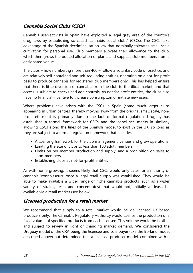### **Cannabis Social Clubs (CSCs)**

Cannabis user-activists in Spain have exploited a legal grey area of the country's drug laws by establishing so-called 'cannabis social clubs' (CSCs). The CSCs take advantage of the Spanish decriminalisation law that nominally tolerates small scale cultivation for personal use. Club members allocate their allowance to the club, which then grows the pooled allocation of plants and supplies club members from a designated venue.

The clubs – now numbering more than 400 – follow a voluntary code of practice, and are relatively self-contained and self-regulating entities, operating on a not-for-profit basis to produce cannabis for registered club members only. This has helped ensure that there is little diversion of cannabis from the club to the illicit market, and that access is subject to checks and age controls. As not for profit entities, the clubs also have no financial incentive to increase consumption or initiate new users.

Where problems have arisen with the CSCs in Spain (some much larger clubs appearing in urban centres, thereby moving away from the original small scale, nonprofit ethos), it is primarily due to the lack of formal regulation. Uruguay has established a formal framework for CSCs and the panel see merits in similarly allowing CSCs along the lines of the Spanish model to exist in the UK, so long as they are subject to a formal regulation framework that includes:

- A licensing framework for the club management, venues and grow operations
- Limiting the size of clubs to less than 100 adult members
- Limits on per-member production and supply, and a prohibition on sales to non-members
- Establishing clubs as not-for-profit entities

As with home growing, it seems likely that CSCs would only cater for a minority of cannabis 'connoisseurs' once a legal retail supply was established. They would be able to make available a wider range of niche cannabis products (such as a wider variety of strains, resin and concentrates) that would not, initially at least, be available via a retail market (see below).

### **Licensed production for a retail market**

We recommend that supply to a retail market would be via licensed UK-based producers only. The Cannabis Regulatory Authority would license the production of a fixed volume of specified products from each licensee. This volume would be flexible and subject to review in light of changing market demand. We considered the Uruguay model of the CRA being the licensee and sole buyer (like the Borland model described above) but determined that a licensed producer model, combined with a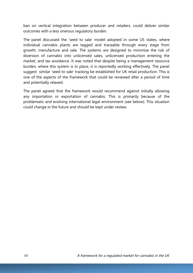ban on vertical integration between producer and retailers, could deliver similar outcomes with a less onerous regulatory burden.

The panel discussed the 'seed to sale' model adopted in some US states, where individual cannabis plants are tagged and traceable through every stage from growth, manufacture and sale. The systems are designed to minimise the risk of diversion of cannabis into unlicensed sales, unlicensed production entering the market, and tax avoidance. It was noted that despite being a management resource burden, where this system is in place, it is reportedly working effectively. The panel suggest similar 'seed to sale' tracking be established for UK retail production. This is one of the aspects of the framework that could be reviewed after a period of time and potentially relaxed.

The panel agreed that the framework would recommend against initially allowing any importation or exportation of cannabis. This is primarily because of the problematic and evolving international legal environment (see below). This situation could change in the future and should be kept under review.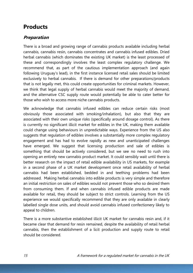# **Products**

### **Preparation**

There is a broad and growing range of cannabis products available including herbal cannabis, cannabis resin, cannabis concentrates and cannabis infused edibles. Dried herbal cannabis (which dominates the existing UK market) is the least processed of these and correspondingly involves the least complex regulatory challenge. We recommend that, as part of the cautious implementation approach (and again following Uruguay's lead), in the first instance licensed retail sales should be limited exclusively to herbal cannabis. If there is demand for other preparations/products that is not legally met, this could create opportunities for criminal markets. However, we think that legal supply of herbal cannabis would meet the majority of demand, and the alternative CSC supply route would potentially be able to cater better for those who wish to access more niche cannabis products.

We acknowledge that cannabis infused edibles can reduce certain risks (most obviously those associated with smoking/inhalation), but also that they are associated with their own unique risks (specifically around dosage control). As there is currently no significant illicit market for edibles in the UK, making them available could change using behaviours in unpredictable ways. Experience from the US also suggests that regulation of edibles involves a substantially more complex regulatory engagement and has had to evolve rapidly as new and unanticipated challenges have emerged. We suggest that licensing production and sale of edibles is something that should be actively considered, but we see no need to rush into opening an entirely new cannabis product market. It could sensibly wait until there is better research on the impact of retail edible availability in US markets, for example in a second phase of a UK market development once retail availability of herbal cannabis had been established, bedded in and teething problems had been addressed. Making herbal cannabis into edible products is very simple and therefore an initial restriction on sales of edibles would not prevent those who so desired them from consuming them. If and when cannabis infused edible products are made available for retail, they should be subject to strict controls. Learning from the US experience we would specifically recommend that they are only available in clearly labelled single dose units, and should avoid cannabis infused confectionery likely to appeal to children.

There is a more substantive established illicit UK market for cannabis resin and, if it became clear that demand for resin remained, despite the availability of retail herbal cannabis, then the establishment of a licit production and supply route to retail should be considered.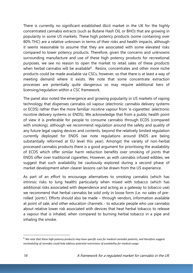There is currently no significant established illicit market in the UK for the highly concentrated cannabis extracts (such as Butane Hash Oil, or BHO) that are growing in popularity in some US markets. These high potency products (some containing over 80% THC) are a relative unknown in terms of their risks and health impacts, although it seems reasonable to assume that they are associated with some elevated risks compared to lower potency products. Therefore, given the concerns and unknowns surrounding manufacture and use of these high potency products for recreational purposes, we see no reason to open the market to retail sales of these products when herbal cannabis will be available<sup>6</sup>. Resins, concentrates and other more niche products could be made available via CSCs, however, so that there is at least a way of meeting demand where it exists. We note that some concentrate extraction processes are potentially quite dangerous so may require additional tiers of licensing/regulation within a CSC framework.

The panel also noted the emergence and growing popularity in US markets of vaping technology that dispenses cannabis oil vapour (electronic cannabis delivery systems or ECDS) rather than the more familiar nicotine vapour from 'e-cigarettes' (electronic nicotine delivery systems or ENDS). We acknowledge that from a public health point of view it is preferable for people to consume cannabis through ECDS (compared with smoking), although we recommend regulation around the safety and quality of any future legal vaping devices and contents, beyond the relatively limited regulation currently deployed for ENDS (we note regulations around ENDS are being substantially reformed at EU level this year). Amongst the variety of non-herbal processed cannabis products there is a good argument for prioritising the availability of ECDS which offer similar harm reduction benefits over smoking of joints that ENDS offer over traditional cigarettes. However, as with cannabis infused edibles, we suggest that such availability be cautiously explored during a second phase of market development when clearer lessons can be drawn from the US experience.

As part of an effort to encourage alternatives to smoking cannabis (which has intrinsic risks to lung health) particularly when mixed with tobacco (which has additional risks associated with dependence and acting as a gateway to tobacco use) we recommend that herbal cannabis be sold only in loose form (i.e. no sales of prerolled 'joints'). Efforts should also be made – through vendors, information available at point of sale, and other education channels - to educate people who use cannabis about relative lower risk associated with devices that heat herbal tobacco to release a vapour that is inhaled, when compared to burning herbal tobacco in a pipe and inhaling the smoke.

 $\overline{a}$ 

<sup>6</sup> *We note that these high potency products may have specific uses for medical cannabis patients, and therefore suggest rescheduling of cannabis could help address potential restrictions of availability for medical usage.*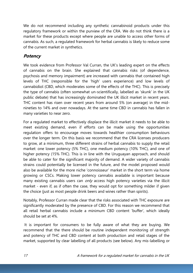We do not recommend including any synthetic cannabinoid products under this regulatory framework or within the purview of the CRA. We do not think there is a market for these products except where people are unable to access other forms of cannabis. As such, a regulated framework for herbal cannabis is likely to reduce some of the current market in synthetics.

### **Potency**

We took evidence from Professor Val Curran, the UK's leading expert on the effects of cannabis on the brain. She explained that cannabis risks (of dependence, psychosis and memory impairment) are increased with cannabis that contained high levels of THC (responsible for the 'high' users experience) and low levels of cannabidiol (CBD, which moderates some of the effects of the THC). This is precisely the type of cannabis (often somewhat un-scientifically, labelled as 'skunk' in the UK public debate) that has increasingly dominated the UK illicit market in recent years. THC content has risen over recent years from around 5% (on average) in the midnineties to 14% and over nowadays. At the same time CBD in cannabis has fallen in many varieties to near zero.

For a regulated market to effectively displace the illicit market it needs to be able to meet existing demand, even if efforts can be made using the opportunities regulation offers to encourage moves towards healthier consumption behaviours over the longer term. On this basis we recommend that the CRA licenses producers to grow, at a minimum, three different strains of herbal cannabis to supply the retail market: one lower potency (5% THC), one medium potency (10% THC), and one of higher potency (15% THC). This is in line with the Uruguayan approach, and should be able to cater for the significant majority of demand. A wider variety of cannabis strains could potentially be licensed in the future, and the model proposed would also be available for the more niche 'connoisseur' market in the short term via home growing or CSCs. Making lower potency cannabis available is important because many existing cannabis users can *only* access high potency varieties via the illicit market - even if, as if often the case, they would opt for something milder if given the choice (just as most people drink beers and wines rather than spirits).

Notably, Professor Curran made clear that the risks associated with THC exposure are significantly moderated by the presence of CBD. For this reason we recommend that all retail herbal cannabis include a minimum CBD content 'buffer', which ideally should be set at 4%.

It is important for consumers to be fully aware of what they are buying. We recommend that the there should be routine independent monitoring of strength and potency of THC and CBD content at both production and retail stages of the market, supported by clear labelling of all products (see below). Any mis-labelling or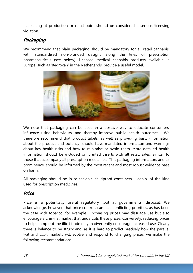mis-selling at production or retail point should be considered a serious licensing violation.

## **Packaging**

We recommend that plain packaging should be mandatory for all retail cannabis, with standardised non-branded designs along the lines of prescription pharmaceuticals (see below). Licensed medical cannabis products available in Europe, such as 'Bedrocan' in the Netherlands, provide a useful model.



We note that packaging can be used in a positive way to educate consumers, influence using behaviours, and thereby improve public health outcomes. We therefore recommend that product labels, as well as providing basic information about the product and potency, should have mandated information and warnings about key health risks and how to minimise or avoid them. More detailed health information should be included on printed inserts with all retail sales, similar to those that accompany all prescription medicines. This packaging information, and its prominence, should be informed by the most recent and most robust evidence base on harm.

All packaging should be in re-sealable childproof containers – again, of the kind used for prescription medicines.

### **Price**

Price is a potentially useful regulatory tool at governments' disposal. We acknowledge, however, that price controls can face conflicting priorities, as has been the case with tobacco, for example. Increasing prices may dissuade use but also encourage a criminal market that undercuts these prices. Conversely, reducing prices to help stamp out the illicit trade may inadvertently encourage increased use. Clearly there is balance to be struck and, as it is hard to predict precisely how the parallel licit and illicit markets will evolve and respond to changing prices, we make the following recommendations.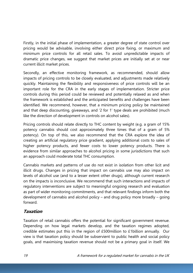Firstly, in the initial phase of implementation, a greater degree of state control over pricing would be advisable, involving either direct price fixing, or maximum and minimum price controls for all retail sales. To avoid unpredictable impacts of dramatic price changes, we suggest that market prices are initially set at or near current illicit market prices.

Secondly, an effective monitoring framework, as recommended, should allow impacts of pricing controls to be closely evaluated, and adjustments made relatively quickly. Maintaining the flexibility and responsiveness of price controls will be an important role for the CRA in the early stages of implementation. Stricter price controls during this period could be reviewed and potentially relaxed as and when the framework is established and the anticipated benefits and challenges have been identified. We recommend, however, that a minimum pricing policy be maintained and that deep discounting, giveaways, and '2 for 1' type deals are prohibited (much like the direction of development in controls on alcohol sales).

Pricing controls should relate directly to THC content by weight (e.g. a gram of 15% potency cannabis should cost approximately three times that of a gram of 5% potency). On top of this, we also recommend that the CRA explore the idea of creating an artificial regulatory price gradient, applying additional costs to sales of higher potency products, and fewer costs to lower potency products. There is evidence from similar approaches to alcohol pricing in some jurisdictions that such an approach could moderate total THC consumption.

Cannabis markets and patterns of use do not exist in isolation from other licit and illicit drugs. Changes in pricing that impact on cannabis use may also impact on levels of alcohol use (and to a lesser extent other drugs), although current research on the impacts is inconclusive. We recommend that such interactions and impacts of regulatory interventions are subject to meaningful ongoing research and evaluation as part of wider monitoring commitments, and that relevant findings inform both the development of cannabis and alcohol policy – and drug policy more broadly – going forward.

### **Taxation**

Taxation of retail cannabis offers the potential for significant government revenue. Depending on how legal markets develop, and the taxation regimes adopted, credible estimates put this in the region of £500million to £1billion annually. Our view is that taxation policy should be subservient to public health and social policy goals, and maximising taxation revenue should not be a primary goal in itself. We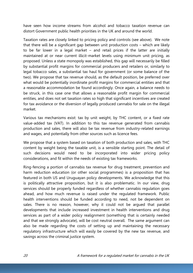have seen how income streams from alcohol and tobacco taxation revenue can distort Government public health priorities in the UK and around the world.

Taxation rates are closely linked to pricing policy and controls (see above). We note that there will be a significant gap between unit production costs – which are likely to be far lower in a legal market – and retail prices if the latter are initially maintained at or near current illicit-market levels using minimum unit pricing, as proposed. Unless a state monopoly was established, this gap will necessarily be filled by substantial profit margins for commercial producers and retailers or, similarly to legal tobacco sales, a substantial tax haul for government (or some balance of the two). We propose that tax revenue should, as the default position, be preferred over what would be potentially inordinate profit margins for commercial entities and that a reasonable accommodation be found accordingly. Once again, a balance needs to be struck, in this case one that allows a reasonable profit margin for commercial entities, and does not set taxation rates so high that significant incentives are created for tax avoidance or the diversion of legally produced cannabis for sale on the illegal market.

Various tax mechanisms exist: tax by unit weight, by THC content, or a fixed rate value-added tax (VAT). In addition to this tax revenue generated from cannabis production and sales, there will also be tax revenue from industry-related earnings and wages, and potentially from other sources such as licence fees.

We propose that a system based on taxation of both production and sales, with THC content by weight being the taxable unit, is a sensible starting point. The detail of such decisions would need to be incorporated into wider pricing policy considerations, and fit within the needs of existing tax frameworks.

Ring-fencing a portion of cannabis tax revenue for drug treatment, prevention and harm reduction education (or other social programmes) is a proposition that has featured in both US and Uruguayan policy developments. We acknowledge that this is politically attractive proposition, but it is also problematic. In our view, drug services should be properly funded regardless of whether cannabis regulation goes ahead, and how much revenue is raised under the regulated framework. Public health interventions should be funded according to need, not be dependent on sales. There is no reason, however, why it could not be argued that parallel developments that include increased investment in health interventions and drug services as part of a wider policy realignment (something that is certainly needed and that we strongly advocate), will be cost neutral overall. The same argument can also be made regarding the costs of setting up and maintaining the necessary regulatory infrastructure which will easily be covered by the new tax revenue, and savings across the criminal justice system.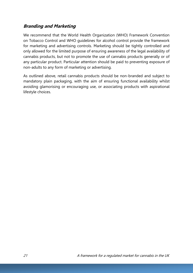### **Branding and Marketing**

We recommend that the World Health Organization (WHO) Framework Convention on Tobacco Control and WHO guidelines for alcohol control provide the framework for marketing and advertising controls. Marketing should be tightly controlled and only allowed for the limited purpose of ensuring awareness of the legal availability of cannabis products, but not to promote the use of cannabis products generally or of any particular product. Particular attention should be paid to preventing exposure of non-adults to any form of marketing or advertising.

As outlined above, retail cannabis products should be non-branded and subject to mandatory plain packaging, with the aim of ensuring functional availability whilst avoiding glamorising or encouraging use, or associating products with aspirational lifestyle choices.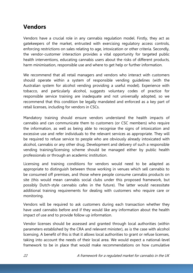# **Vendors**

Vendors have a crucial role in any cannabis regulation model. Firstly, they act as gatekeepers of the market, entrusted with exercising regulatory access controls, enforcing restrictions on sales relating to age, intoxication or other criteria. Secondly, the vendor-customer interaction provides a vital opportunity for targeted public health interventions, educating cannabis users about the risks of different products, harm minimisation, responsible use and where to get help or further information.

We recommend that all retail managers and vendors who interact with customers should operate within a system of responsible vending guidelines (with the Australian system for alcohol vending providing a useful model). Experience with tobacco, and particularly alcohol, suggests voluntary codes of practice for responsible service training are inadequate and not universally adopted, so we recommend that this condition be legally mandated and enforced as a key part of retail licenses, including for vendors in CSCs.

Mandatory training should ensure vendors understand the health impacts of cannabis and can communicate them to customers (or CSC members) who require the information, as well as being able to recognise the signs of intoxication and excessive use and refer individuals to the relevant services as appropriate. They will be required to refuse service to people who are obviously already intoxicated with alcohol, cannabis or any other drug. Development and delivery of such a responsible vending training/licensing scheme should be managed either by public health professionals or through an academic institution.

Licensing and training conditions for vendors would need to be adapted as appropriate to distinguish between those working in venues which sell cannabis to be consumed off premises, and those where people consume cannabis products on site (this would mean cannabis social clubs under this proposed framework, but possibly Dutch-style cannabis cafes in the future). The latter would necessitate additional training requirements for dealing with customers who require care or monitoring.

Vendors will be required to ask customers during each transaction whether they have used cannabis before and if they would like any information about the health impact of use and to provide follow up information.

Vendor licenses should be assessed and granted through local authorities (within parameters established by the CRA and relevant minister), as is the case with alcohol licensing. A benefit of this is that it allows local authorities to grant or refuse licenses, taking into account the needs of their local area. We would expect a national-level framework to be in place that would make recommendations on how cumulative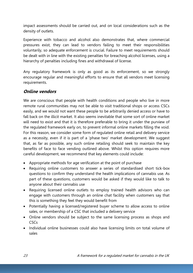impact assessments should be carried out, and on local considerations such as the density of outlets.

Experience with tobacco and alcohol also demonstrates that, where commercial pressures exist, they can lead to vendors failing to meet their responsibilities voluntarily, so adequate enforcement is crucial. Failure to meet requirements should be dealt with in line with the existing penalties for breaching alcohol licenses, using a hierarchy of penalties including fines and withdrawal of license.

Any regulatory framework is only as good as its enforcement, so we strongly encourage regular and meaningful efforts to ensure that all vendors meet licensing requirements.

### **Online vendors**

We are conscious that people with health conditions and people who live in more remote rural communities may not be able to visit traditional shops or access CSCs easily, and we would not want these people to be arbitrarily denied access or have to fall back on the illicit market. It also seems inevitable that some sort of online market will need to exist and that it is therefore preferable to bring it under the purview of the regulated framework early on, to prevent informal online markets filling the void. For this reason, we consider some form of regulated online retail and delivery service as a necessity, even if it is part of a 'phase two' market development. We suggest that, as far as possible, any such online retailing should seek to maintain the key benefits of face to face vending outlined above. Whilst this option requires more careful development, we recommend that key elements could include:

- Appropriate methods for age verification at the point of purchase
- Requiring online customers to answer a series of standardised short tick-box questions to confirm they understand the health implications of cannabis use. As part of these questions, customers would be asked if they would like to talk to anyone about their cannabis use
- Requiring licensed online outlets to employ trained health advisors who can engage with customers through an online chat facility when customers say that this is something they feel they would benefit from
- Potentially having a licensed/registered buyer scheme to allow access to online sales, or membership of a CSC that included a delivery service
- Online vendors should be subject to the same licensing process as shops and **CSCs**
- Individual online businesses could also have licensing limits on total volume of sales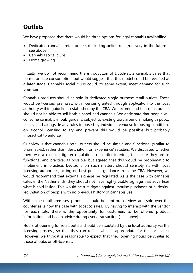# **Outlets**

We have proposed that there would be three options for legal cannabis availability:

- Dedicated cannabis retail outlets (including online retail/delivery in the future see above)
- Cannabis social clubs
- Home growing

Initially, we do not recommend the introduction of Dutch-style cannabis cafes that permit on-site consumption, but would suggest that this model could be revisited at a later stage. Cannabis social clubs could, to some extent, meet demand for such premises.

Cannabis products should be sold in dedicated single-purpose retail outlets. These would be licensed premises, with licenses granted through application to the local authority within guidelines established by the CRA. We recommend that retail outlets should not be able to sell both alcohol and cannabis. We anticipate that people will consume cannabis in pub gardens, subject to existing laws around smoking in public places (and alongside any rules imposed by individual venues). Imposing conditions on alcohol licensing to try and prevent this would be possible but probably impractical to enforce.

Our view is that cannabis retail outlets should be simple and functional (similar to pharmacies), rather than 'destination' or 'experience' retailers. We discussed whether there was a case for tighter regulations on outlet interiors, to ensure they are as functional and practical as possible, but agreed that this would be problematic to implement in practice. Decisions on such matters should sensibly sit with local licensing authorities, acting on best practice guidance from the CRA. However, we would recommend that external signage be regulated. As is the case with cannabis cafes in the Netherlands, they should not have highly visible signage that advertises what is sold inside. This would help mitigate against impulse purchases or curiosityled initiation of people with no previous history of cannabis use.

Within the retail premises, products should be kept out of view, and sold over the counter as is now the case with tobacco sales. By having to interact with the vendor for each sale, there is the opportunity for customers to be offered product information and health advice during every transaction (see above).

Hours of opening for retail outlets should be stipulated by the local authority via the licensing process, so that they can reflect what is appropriate for the local area. However, we think it is reasonable to expect that their opening hours be similar to those of pubs or off-licenses.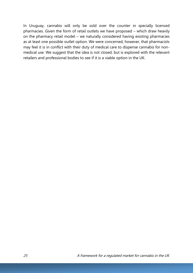In Uruguay, cannabis will only be sold over the counter in specially licensed pharmacies. Given the form of retail outlets we have proposed – which draw heavily on the pharmacy retail model – we naturally considered having existing pharmacies as at least one possible outlet option. We were concerned, however, that pharmacists may feel it is in conflict with their duty of medical care to dispense cannabis for nonmedical use. We suggest that the idea is not closed, but is explored with the relevant retailers and professional bodies to see if it is a viable option in the UK.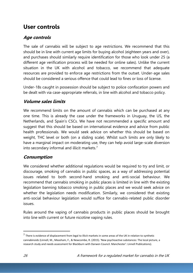# **User controls**

### **Age controls**

The sale of cannabis will be subject to age restrictions. We recommend that this should be in line with current age limits for buying alcohol (eighteen years and over), and purchases should similarly require identification for those who look under 25 (a different age verification process will be needed for online sales). Unlike the current situation in the UK with alcohol and tobacco, we recommend that adequate resources are provided to enforce age restrictions from the outset. Under-age sales should be considered a serious offence that could lead to fines or loss of license.

Under-18s caught in possession should be subject to police confiscation powers and be dealt with via case-appropriate referrals, in line with alcohol and tobacco policy.

#### **Volume sales limits**

We recommend limits on the amount of cannabis which can be purchased at any one time. This is already the case under the frameworks in Uruguay, the US, the Netherlands, and Spain's CSCs. We have not recommended a specific amount and suggest that this should be based on international evidence and advice from public health professionals. We would seek advice on whether this should be based on weight, THC level or both (on a sliding scale). Whilst such limits are only likely to have a marginal impact on moderating use, they can help avoid large-scale diversion into secondary informal and illicit markets.<sup>7</sup>

### **Consumption**

We considered whether additional regulations would be required to try and limit, or discourage, smoking of cannabis in public spaces, as a way of addressing potential issues related to both second-hand smoking and anti-social behaviour. We recommend that cannabis smoking in public places is limited in line with the existing legislation banning tobacco smoking in public places and we would seek advice on whether the legislation needs modification. Similarly, we considered that existing anti-social behaviour legislation would suffice for cannabis-related public disorder issues.

Rules around the vaping of cannabis products in public places should be brought into line with current or future nicotine vaping rules.

**.** 

<sup>&</sup>lt;sup>7</sup> There is evidence of displacement from legal to illicit markets in some areas of the UK in relation to synthetic cannabinoids (Linnell, M., Measham, F., & Newcombe, R. (2015). 'New psychoactive substances: The local picture, a research study and needs assessment for Blackburn with Darwen Council. Manchester': Linnell Publications).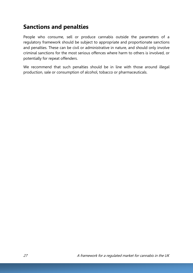# **Sanctions and penalties**

People who consume, sell or produce cannabis outside the parameters of a regulatory framework should be subject to appropriate and proportionate sanctions and penalties. These can be civil or administrative in nature, and should only involve criminal sanctions for the most serious offences where harm to others is involved, or potentially for repeat offenders.

We recommend that such penalties should be in line with those around illegal production, sale or consumption of alcohol, tobacco or pharmaceuticals.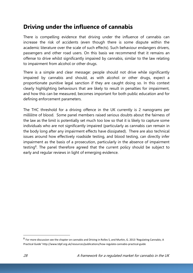# **Driving under the influence of cannabis**

There is compelling evidence that driving under the influence of cannabis can increase the risk of accidents (even though there is some dispute within the academic literature over the scale of such effects). Such behaviour endangers drivers, passengers and other road users. On this basis we recommend that it remains an offense to drive whilst significantly impaired by cannabis, similar to the law relating to impairment from alcohol or other drugs.

There is a simple and clear message: people should not drive while significantly impaired by cannabis and should, as with alcohol or other drugs, expect a proportionate punitive legal sanction if they are caught doing so. In this context clearly highlighting behaviours that are likely to result in penalties for impairment, and how this can be measured, becomes important for both public education and for defining enforcement parameters.

The THC threshold for a driving offence in the UK currently is 2 nanograms per millilitre of blood. Some panel members raised serious doubts about the fairness of the law as the limit is potentially set much too low so that it is likely to capture some individuals who are not significantly impaired (particularly as cannabis can remain in the body long after any impairment effects have dissipated). There are also technical issues around how effectively roadside testing, and blood testing, can directly infer impairment as the basis of a prosecution, particularly in the absence of impairment testing<sup>8</sup>. The panel therefore agreed that the current policy should be subject to early and regular reviews in light of emerging evidence.

**.** 

<sup>&</sup>lt;sup>8</sup> For more discussion see the chapter on cannabis and Driving in Rolles S, and Murkin, G. 2013 'Regulating Cannabis; A Practical Guide' http://www.tdpf.org.uk/resources/publications/how-regulate-cannabis-practical-guide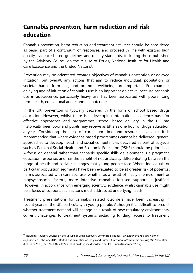# **Cannabis prevention, harm reduction and risk education**

Cannabis prevention, harm reduction and treatment activities should be considered as being part of a continuum of responses, and proceed in line with existing high quality evidence based guidelines and quality standards, including those published by the Advisory Council on the Misuse of Drugs, National Institute for Health and Care Excellence and the United Nations<sup>9</sup>.

Prevention may be orientated towards objectives of cannabis abstention or delayed initiation, but overall, any actions that aim to reduce individual, population, or societal harms from use, and promote wellbeing, are important. For example, delaying age of initiation of cannabis use is an important objective, because cannabis use in adolescence, particularly heavy use, has been associated with poorer long term health, educational and economic outcomes.

In the UK, prevention is typically delivered in the form of school based drugs education. However, whilst there is a developing international evidence base for effective approaches and programmes, school based delivery in the UK has historically been poor and pupils may receive as little as one hour of drugs education a year. Considering the lack of curriculum time and resources available, it is recommended that where evidence based programmes cannot be delivered, general approaches to develop health and social competencies delivered as part of subjects such as Personal Social Health and Economic Education (PSHE) should be prioritised. A focus on general rather than cannabis specific skills development is a pragmatic education response, and has the benefit of not artificially differentiating between the range of health and social challenges that young people face. Where individuals or particular population segments have been evaluated to be at greater risk of potential harms associated with cannabis use, whether as a result of lifestyle, environment or biopsychosocial factors, more intensive cannabis focused support is justified. However, in accordance with emerging scientific evidence, whilst cannabis use might be a focus of support, such actions must address all underlying needs.

Treatment presentations for cannabis related disorders have been increasing in recent years in the UK, particularly in young people. Although it is difficult to predict whether treatment demand will change as a result of new regulatory environments, current challenges to treatment systems, including funding, access to treatment,

**.** 

<sup>9</sup> Including: Advisory Council on the Misuse of Drugs Recovery Committee's paper, *Prevention of Drug and Alcohol Dependence* (February 2015); United Nations Office on Drugs and Crime's *International Standards on Drug Use Prevention* (February 2015); and NICE Quality Standard on drug use disorder in adults (QS23) (November 2012)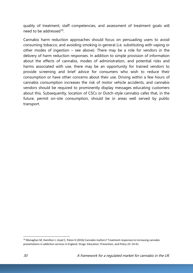quality of treatment, staff competencies, and assessment of treatment goals will need to be addressed<sup>10</sup>.

Cannabis harm reduction approaches should focus on persuading users to avoid consuming tobacco, and avoiding smoking in general (i.e. substituting with vaping or other modes of ingestion – see above). There may be a role for vendors in the delivery of harm reduction responses. In addition to simple provision of information about the effects of cannabis, modes of administration, and potential risks and harms associated with use, there may be an opportunity for trained vendors to provide screening and brief advice for consumers who wish to reduce their consumption or have other concerns about their use. Driving within a few hours of cannabis consumption increases the risk of motor vehicle accidents, and cannabis vendors should be required to prominently display messages educating customers about this. Subsequently, location of CSCs or Dutch-style cannabis cafes that, in the future, permit on-site consumption, should be in areas well served by public transport.

1

<sup>&</sup>lt;sup>10</sup> Monaghan M, Hamilton I, Lloyd C, Paton K (2016) Cannabis matters? Treatment responses to increasing cannabis presentations in addiction services in England. Drugs: Education, Prevention, and Policy 23: 54-61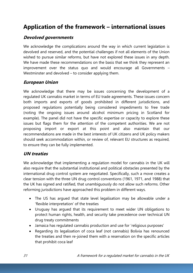# **Application of the framework – international issues**

#### **Devolved governments**

We acknowledge the complications around the way in which current legislation is devolved and reserved, and the potential challenges if not all elements of the Union wished to pursue similar reforms, but have not explored these issues in any depth. We have made these recommendations on the basis that we think they represent an improvement over the status quo and would encourage all Governments – Westminster and devolved – to consider applying them.

#### **European Union**

We acknowledge that there may be issues concerning the development of a regulated UK cannabis market in terms of EU trade agreements. These issues concern both imports and exports of goods prohibited in different jurisdictions, and proposed regulations potentially being considered impediments to free trade (noting the ongoing issues around alcohol minimum pricing in Scotland for example). The panel did not have the specific expertise or capacity to explore these issues but flags them for the attention of the competent authorities. We are not proposing import or export at this point and also maintain that our recommendations are made in the best interests of UK citizens and UK policy makers should seek accommodation within, or review of, relevant EU structures as required, to ensure they can be fully implemented.

### **UN treaties**

We acknowledge that implementing a regulation model for cannabis in the UK will also require that the substantial institutional and political obstacles presented by the international drug control system are negotiated. Specifically, such a move creates a clear tension with the three UN drug control conventions (1961, 1971, and 1988) that the UK has signed and ratified, that unambiguously do not allow such reforms. Other reforming jurisdictions have approached this problem in different ways.

- The US has argued that state level legalisation may be allowable under a 'flexible interpretation' of the treaties
- Uruguay has argued that its requirement to meet wider UN obligations to protect human rights, health, and security take precedence over technical UN drug treaty commitments
- Jamaica has regulated cannabis production and use for 'religious purposes'
- Regarding its legalisation of coca leaf (not cannabis) Bolivia has renounced the treaties and then re-joined them with a reservation on the specific articles that prohibit coca leaf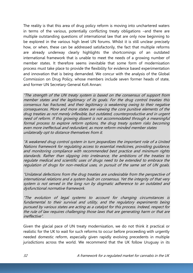The reality is that this area of drug policy reform is moving into unchartered waters in terms of the various, potentially conflicting treaty obligations –and there are multiple outstanding questions of international law that are only now beginning to be explored in the various high level UN forums. Whilst it is still unclear precisely how, or when, these can be addressed satisfactorily, the fact that multiple reforms are already underway clearly highlights the shortcomings of an outdated international framework that is unable to meet the needs of a growing number of member states. It therefore seems inevitable that some form of modernisation process must take place to provide the flexibility for evidence based experimentation and innovation that is being demanded. We concur with the analysis of the Global Commission on Drug Policy, whose members include seven former heads of state, and former UN Secretary-General Kofi Annan:

"The strength of the UN treaty system is based on the consensus of support from member states and the legitimacy of its goals. For the drug control treaties this consensus has fractured, and their legitimacy is weakening owing to their negative consequences. More and more states are viewing the core punitive elements of the drug treaties as not merely inflexible, but outdated, counterproductive and in urgent need of reform. If this growing dissent is not accommodated through a meaningful formal process to explore reform options, the drug treaty system risks becoming even more ineffectual and redundant, as more reform-minded member states unilaterally opt to distance themselves from it.

"A weakened drug control system in turn jeopardizes the important role of a United Nations framework for regulating access to essential medicines, providing guidance, and monitoring compliance with recommended best practice and minimum rights standards. Rather than slipping into irrelevance, the ambitions of the treaties to regulate medical and scientific uses of drugs need to be extended to embrace the regulation of drugs for non-medical uses, in pursuit of the same set of UN goals.

"Unilateral defections from the drug treaties are undesirable from the perspective of international relations and a system built on consensus. Yet the integrity of that very system is not served in the long run by dogmatic adherence to an outdated and dysfunctional normative framework.

"The evolution of legal systems to account for changing circumstances is fundamental to their survival and utility, and the regulatory experiments being pursued by various states are acting as a catalyst for this process. Indeed, respect for the rule of law requires challenging those laws that are generating harm or that are ineffective".

Given the glacial pace of UN treaty modernisation, we do not think it practical or realistic for the UK to wait for such reforms to occur before proceeding with urgently needed domestic reform, especially given rapidly evolving precedents in multiple jurisdictions across the world. We recommend that the UK follow Uruguay in its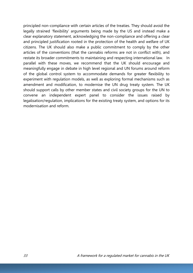principled non-compliance with certain articles of the treaties. They should avoid the legally strained 'flexibility' arguments being made by the US and instead make a clear explanatory statement, acknowledging the non-compliance and offering a clear and principled justification rooted in the protection of the health and welfare of UK citizens. The UK should also make a public commitment to comply by the other articles of the conventions (that the cannabis reforms are not in conflict with), and restate its broader commitments to maintaining and respecting international law. In parallel with these moves, we recommend that the UK should encourage and meaningfully engage in debate in high level regional and UN forums around reform of the global control system to accommodate demands for greater flexibility to experiment with regulation models, as well as exploring formal mechanisms such as amendment and modification, to modernise the UN drug treaty system. The UK should support calls by other member states and civil society groups for the UN to convene an independent expert panel to consider the issues raised by legalisation/regulation, implications for the existing treaty system, and options for its modernisation and reform.